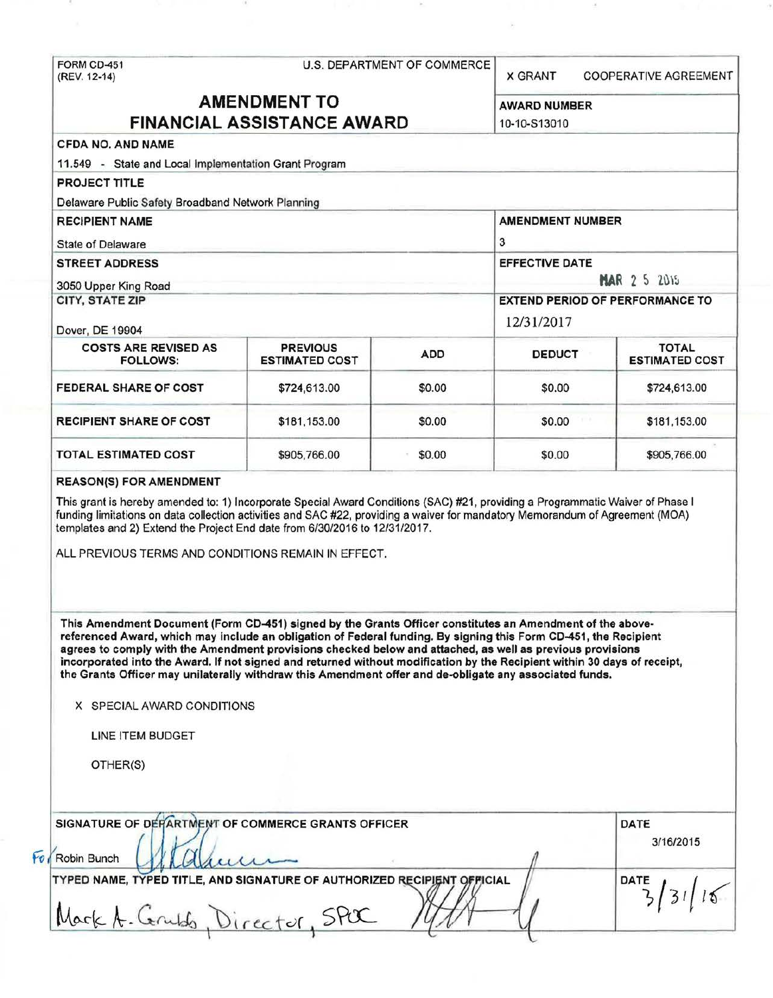FORM CD-451 U.S. DEPARTMENT OF COMMERCE<br>(REV. 12-14) **X GRANT COOPERATIVE AGREEMENT AMENDMENT TO** AWARD NUMBER **FINANCIAL ASSISTANCE AWARD** 10-10-513010 CFDA NO. AND NAME 11 .549 - State and Local Implementation Grant Program PROJECT TITLE Delaware Public Safety Broadband Network Planning RECIPIENT NAME AMENOMENT NUMBER State of Delaware 3 STREET ADDRESS EFFECTIVE DATE **3050 Upper King Road <b>that** a set of the set of the set of the set of the set of the set of the set of the set of the set of the set of the set of the set of the set of the set of the set of the set of the set of the set CITY, STATE ZIP EXTEND PERIOD OF PERFORMANCE TO Dover, DE 19904 12/31/2017 COSTS ARE REVISED AS PREVIOUS ADD DEDUCT LETIMATED FOLLOWS: ESTIMATED COST | ADD | DEDUCT | ESTIMATED COST FEDERAL SHARE OF COST  $$724.613.00$   $$0.00$   $$724.613.00$  \$724.613.00 RECIPIENT SHARE OF COST \$181,153.00 \$0.00 \$0.00 \$0.00 \$181,153.00 TOTAL ESTIMATED COST \$905,766.00 \$905,766.00 \$0.00 \$0.00 \$905,766.00<br>REASONIS) FOR AMENDMENT REASON(S) FOR AMENDMENT This grant is hereby amended to: 1) Incorporate Special Award Conditions (SAC) #21 , providing a Programmatic Waiver of Phase I funding limitations on data collection activities and SAC #22, providing a waiver for mandatory Memorandum of Agreement (MOA) templates and 2) Extend the Project End date from 6/30/2016 to 12/31/2017. ALL PREVIOUS TERMS AND CONDITIONS REMAIN IN EFFECT. This Amendment Document (Form CD-451) signed by the Grants Officer constitutes an Amendment of the abovereferenced Award, which may include an obligation of Federal funding. By signing this Form CD-451, the Recipient agrees to comply with the Amendment provisions checked below and attached, as well as previous provisions incorporated into the Award. If not signed and returned without modification by the Recipient within 30 days of receipt, the Grants Officer may unilaterally withdraw this Amendment offer and de-obligate any associated funds. X SPECIAL AWARD CONDITIONS LINE ITEM BUDGET OTHER(S) Fo Robin Bunch SIGNATURE OF DEFARTMENT OF COMMERCE GRANTS OFFICER | DATE 3/16/2015 Robin Bunch L ~ . *(j ..<..t* .A *.A.* .A- !I TYPED NAME, TYPED TITLE, AND SIGNATURE OF AUTHORIZED RECIPIENT OFFICIAL Mark A. Centes, Director, SPOC /4/1-1  $5/31/15$ 

 $\sim$   $\sim$   $\sim$   $\sim$